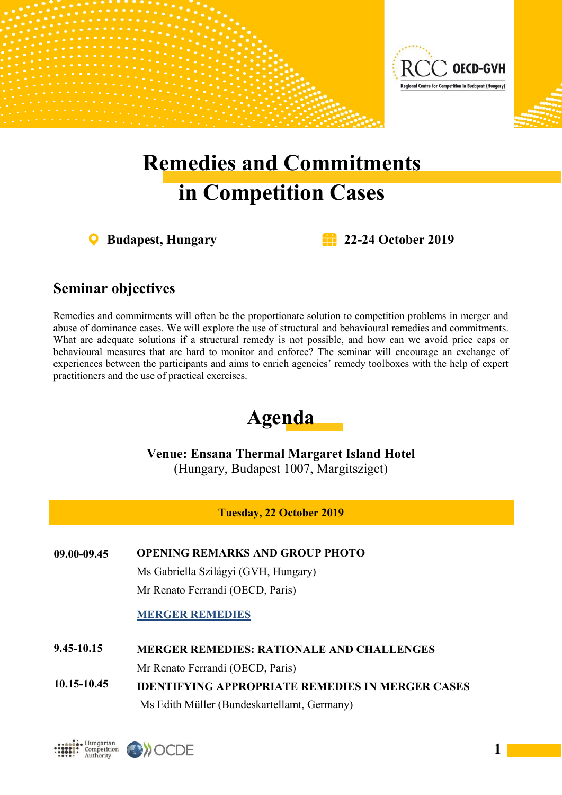

# **Remedies and Commitments in Competition Cases**

**Budapest, Hungary 22-24 October 2019**

## **Seminar objectives**

Remedies and commitments will often be the proportionate solution to competition problems in merger and abuse of dominance cases. We will explore the use of structural and behavioural remedies and commitments. What are adequate solutions if a structural remedy is not possible, and how can we avoid price caps or behavioural measures that are hard to monitor and enforce? The seminar will encourage an exchange of experiences between the participants and aims to enrich agencies' remedy toolboxes with the help of expert practitioners and the use of practical exercises.

## **Agenda**

**Venue: Ensana Thermal Margaret Island Hotel** (Hungary, Budapest 1007, Margitsziget)

**Tuesday, 22 October 2019**

**09.00-09.45 OPENING REMARKS AND GROUP PHOTO**

Ms Gabriella Szilágyi (GVH, Hungary) Mr Renato Ferrandi (OECD, Paris)

#### **MERGER REMEDIES**

**MERGER REMEDIES: RATIONALE AND CHALLENGES 9.45-10.15**

Mr Renato Ferrandi (OECD, Paris)

**IDENTIFYING APPROPRIATE REMEDIES IN MERGER CASES** Ms Edith Müller (Bundeskartellamt, Germany) **10.15-10.45**

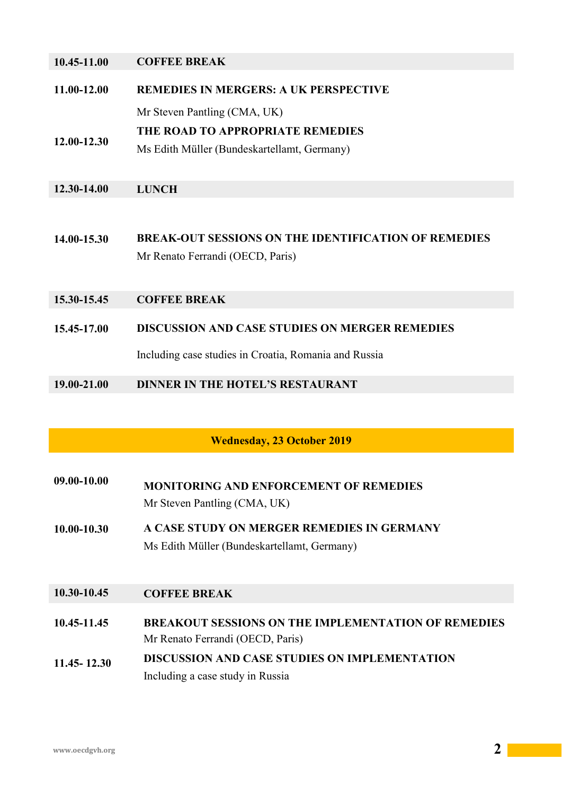| 10.45-11.00 | <b>COFFEE BREAK</b> |
|-------------|---------------------|
|             |                     |

**11.00-12.00 REMEDIES IN MERGERS: A UK PERSPECTIVE**

Mr Steven Pantling (CMA, UK)

**THE ROAD TO APPROPRIATE REMEDIES**

**12.00-12.30** Ms Edith Müller (Bundeskartellamt, Germany)

#### **12.30-14.00 LUNCH**

- **14.00-15.30 BREAK-OUT SESSIONS ON THE IDENTIFICATION OF REMEDIES** Mr Renato Ferrandi (OECD, Paris)
- **15.30-15.45 COFFEE BREAK**
- **15.45-17.00 DISCUSSION AND CASE STUDIES ON MERGER REMEDIES**

Including case studies in Croatia, Romania and Russia

#### **19.00-21.00 DINNER IN THE HOTEL'S RESTAURANT**

#### **Wednesday, 23 October 2019**

- **09.00-10.00 MONITORING AND ENFORCEMENT OF REMEDIES** Mr Steven Pantling (CMA, UK)
- **10.00-10.30 A CASE STUDY ON MERGER REMEDIES IN GERMANY** Ms Edith Müller (Bundeskartellamt, Germany)

#### **10.30-10.45 COFFEE BREAK**

- **10.45-11.45 BREAKOUT SESSIONS ON THE IMPLEMENTATION OF REMEDIES** Mr Renato Ferrandi (OECD, Paris)
- **11.45- 12.30 DISCUSSION AND CASE STUDIES ON IMPLEMENTATION** Including a case study in Russia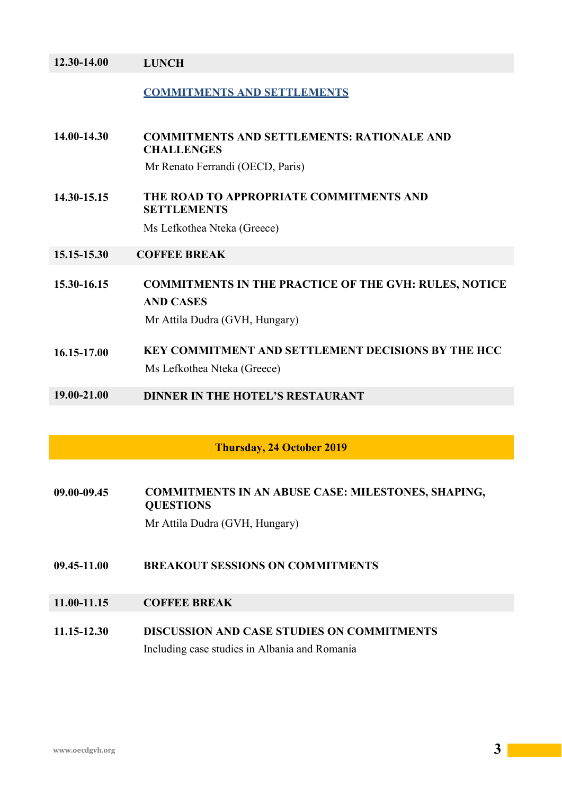| 12.30-14.00                      | <b>LUNCH</b>                                                                     |
|----------------------------------|----------------------------------------------------------------------------------|
|                                  | <b>COMMITMENTS AND SETTLEMENTS</b>                                               |
| 14.00-14.30                      | <b>COMMITMENTS AND SETTLEMENTS: RATIONALE AND</b><br><b>CHALLENGES</b>           |
|                                  | Mr Renato Ferrandi (OECD, Paris)                                                 |
| 14.30-15.15                      | THE ROAD TO APPROPRIATE COMMITMENTS AND<br><b>SETTLEMENTS</b>                    |
|                                  | Ms Lefkothea Nteka (Greece)                                                      |
| 15.15-15.30                      | <b>COFFEE BREAK</b>                                                              |
| 15.30-16.15                      | <b>COMMITMENTS IN THE PRACTICE OF THE GVH: RULES, NOTICE</b><br><b>AND CASES</b> |
|                                  | Mr Attila Dudra (GVH, Hungary)                                                   |
| 16.15-17.00                      | KEY COMMITMENT AND SETTLEMENT DECISIONS BY THE HCC                               |
|                                  | Ms Lefkothea Nteka (Greece)                                                      |
| 19.00-21.00                      | <b>DINNER IN THE HOTEL'S RESTAURANT</b>                                          |
|                                  |                                                                                  |
| <b>Thursday, 24 October 2019</b> |                                                                                  |
|                                  |                                                                                  |

**09.00-09.45 COMMITMENTS IN AN ABUSE CASE: MILESTONES, SHAPING, QUESTIONS** Mr Attila Dudra (GVH, Hungary)

- **09.45-11.00 BREAKOUT SESSIONS ON COMMITMENTS**
- **11.00-11.15 COFFEE BREAK**
- **11.15-12.30 DISCUSSION AND CASE STUDIES ON COMMITMENTS** Including case studies in Albania and Romania